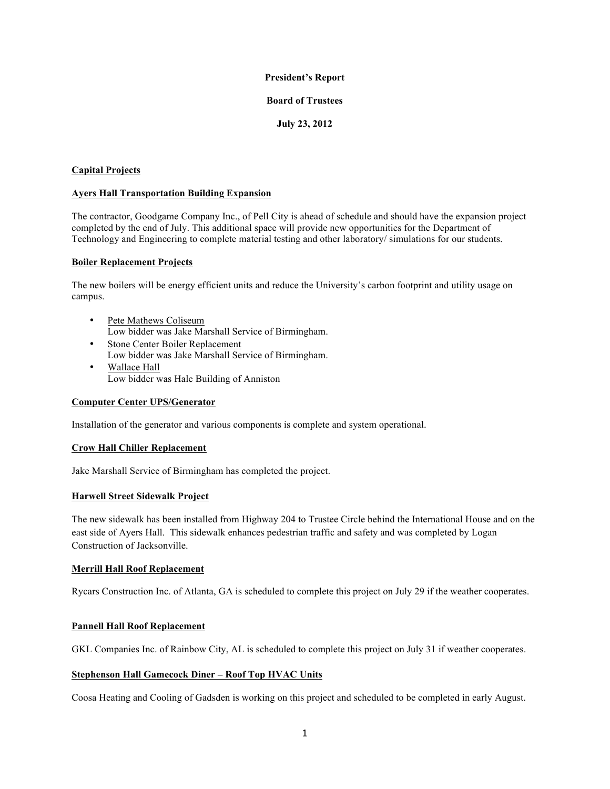# **President's Report**

#### **Board of Trustees**

# **July 23, 2012**

# **Capital Projects**

## **Ayers Hall Transportation Building Expansion**

The contractor, Goodgame Company Inc., of Pell City is ahead of schedule and should have the expansion project completed by the end of July. This additional space will provide new opportunities for the Department of Technology and Engineering to complete material testing and other laboratory/ simulations for our students.

## **Boiler Replacement Projects**

The new boilers will be energy efficient units and reduce the University's carbon footprint and utility usage on campus.

- Pete Mathews Coliseum Low bidder was Jake Marshall Service of Birmingham.
- Stone Center Boiler Replacement Low bidder was Jake Marshall Service of Birmingham. • Wallace Hall
	- Low bidder was Hale Building of Anniston

# **Computer Center UPS/Generator**

Installation of the generator and various components is complete and system operational.

# **Crow Hall Chiller Replacement**

Jake Marshall Service of Birmingham has completed the project.

# **Harwell Street Sidewalk Project**

The new sidewalk has been installed from Highway 204 to Trustee Circle behind the International House and on the east side of Ayers Hall. This sidewalk enhances pedestrian traffic and safety and was completed by Logan Construction of Jacksonville.

#### **Merrill Hall Roof Replacement**

Rycars Construction Inc. of Atlanta, GA is scheduled to complete this project on July 29 if the weather cooperates.

# **Pannell Hall Roof Replacement**

GKL Companies Inc. of Rainbow City, AL is scheduled to complete this project on July 31 if weather cooperates.

# **Stephenson Hall Gamecock Diner – Roof Top HVAC Units**

Coosa Heating and Cooling of Gadsden is working on this project and scheduled to be completed in early August.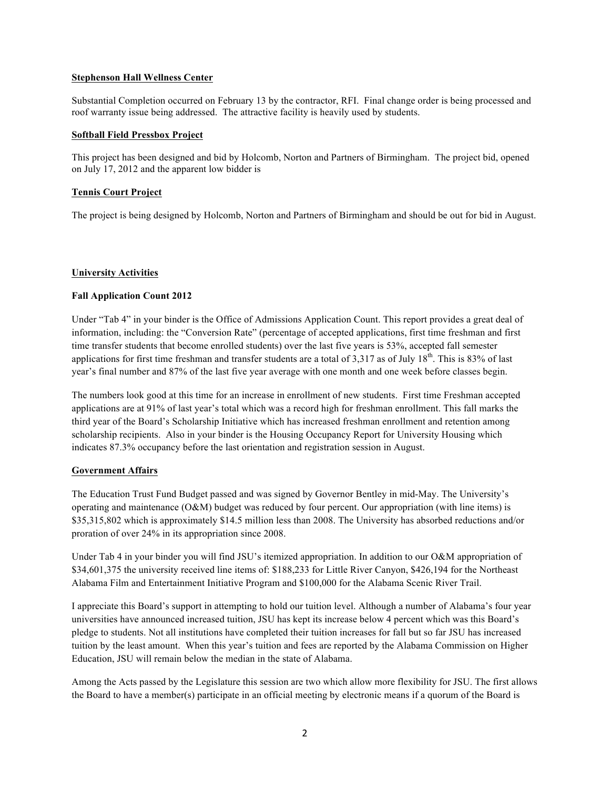## **Stephenson Hall Wellness Center**

Substantial Completion occurred on February 13 by the contractor, RFI. Final change order is being processed and roof warranty issue being addressed. The attractive facility is heavily used by students.

#### **Softball Field Pressbox Project**

This project has been designed and bid by Holcomb, Norton and Partners of Birmingham. The project bid, opened on July 17, 2012 and the apparent low bidder is

## **Tennis Court Project**

The project is being designed by Holcomb, Norton and Partners of Birmingham and should be out for bid in August.

## **University Activities**

## **Fall Application Count 2012**

Under "Tab 4" in your binder is the Office of Admissions Application Count. This report provides a great deal of information, including: the "Conversion Rate" (percentage of accepted applications, first time freshman and first time transfer students that become enrolled students) over the last five years is 53%, accepted fall semester applications for first time freshman and transfer students are a total of  $3.317$  as of July  $18<sup>th</sup>$ . This is 83% of last year's final number and 87% of the last five year average with one month and one week before classes begin.

The numbers look good at this time for an increase in enrollment of new students. First time Freshman accepted applications are at 91% of last year's total which was a record high for freshman enrollment. This fall marks the third year of the Board's Scholarship Initiative which has increased freshman enrollment and retention among scholarship recipients. Also in your binder is the Housing Occupancy Report for University Housing which indicates 87.3% occupancy before the last orientation and registration session in August.

#### **Government Affairs**

The Education Trust Fund Budget passed and was signed by Governor Bentley in mid-May. The University's operating and maintenance (O&M) budget was reduced by four percent. Our appropriation (with line items) is \$35,315,802 which is approximately \$14.5 million less than 2008. The University has absorbed reductions and/or proration of over 24% in its appropriation since 2008.

Under Tab 4 in your binder you will find JSU's itemized appropriation. In addition to our O&M appropriation of \$34,601,375 the university received line items of: \$188,233 for Little River Canyon, \$426,194 for the Northeast Alabama Film and Entertainment Initiative Program and \$100,000 for the Alabama Scenic River Trail.

I appreciate this Board's support in attempting to hold our tuition level. Although a number of Alabama's four year universities have announced increased tuition, JSU has kept its increase below 4 percent which was this Board's pledge to students. Not all institutions have completed their tuition increases for fall but so far JSU has increased tuition by the least amount. When this year's tuition and fees are reported by the Alabama Commission on Higher Education, JSU will remain below the median in the state of Alabama.

Among the Acts passed by the Legislature this session are two which allow more flexibility for JSU. The first allows the Board to have a member(s) participate in an official meeting by electronic means if a quorum of the Board is